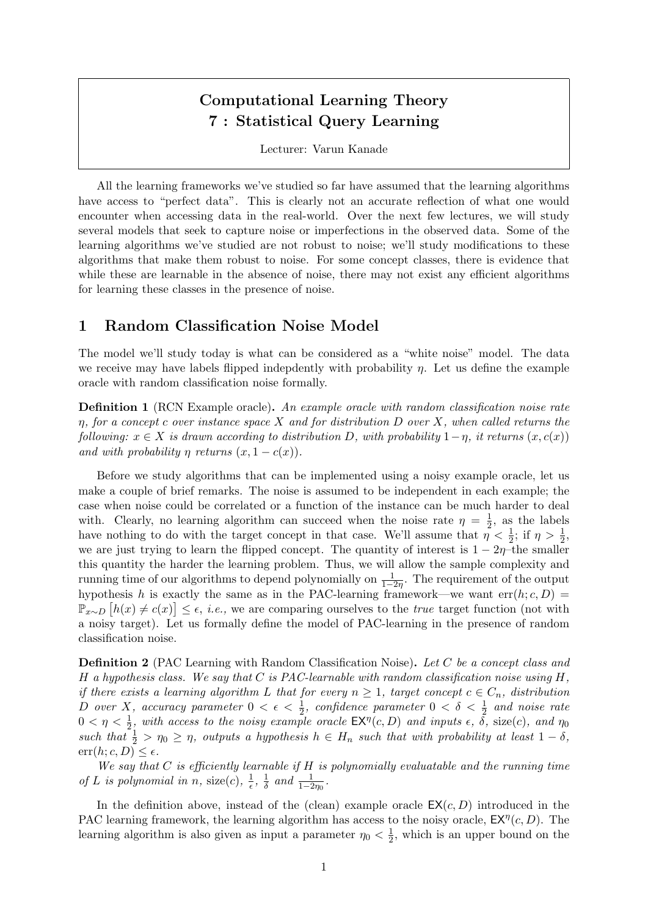# Computational Learning Theory 7 : Statistical Query Learning

Lecturer: Varun Kanade

All the learning frameworks we've studied so far have assumed that the learning algorithms have access to "perfect data". This is clearly not an accurate reflection of what one would encounter when accessing data in the real-world. Over the next few lectures, we will study several models that seek to capture noise or imperfections in the observed data. Some of the learning algorithms we've studied are not robust to noise; we'll study modifications to these algorithms that make them robust to noise. For some concept classes, there is evidence that while these are learnable in the absence of noise, there may not exist any efficient algorithms for learning these classes in the presence of noise.

# 1 Random Classification Noise Model

The model we'll study today is what can be considered as a "white noise" model. The data we receive may have labels flipped indepdently with probability  $\eta$ . Let us define the example oracle with random classification noise formally.

**Definition 1** (RCN Example oracle). An example oracle with random classification noise rate  $\eta$ , for a concept c over instance space X and for distribution D over X, when called returns the following:  $x \in X$  is drawn according to distribution D, with probability  $1-\eta$ , it returns  $(x, c(x))$ and with probability  $\eta$  returns  $(x, 1 - c(x))$ .

Before we study algorithms that can be implemented using a noisy example oracle, let us make a couple of brief remarks. The noise is assumed to be independent in each example; the case when noise could be correlated or a function of the instance can be much harder to deal with. Clearly, no learning algorithm can succeed when the noise rate  $\eta = \frac{1}{2}$  $\frac{1}{2}$ , as the labels have nothing to do with the target concept in that case. We'll assume that  $\eta < \frac{1}{2}$ ; if  $\eta > \frac{1}{2}$ , we are just trying to learn the flipped concept. The quantity of interest is  $1 - 2\eta$ –the smaller this quantity the harder the learning problem. Thus, we will allow the sample complexity and running time of our algorithms to depend polynomially on  $\frac{1}{1-2\eta}$ . The requirement of the output hypothesis h is exactly the same as in the PAC-learning framework—we want  $err(h; c, D)$  =  $\mathbb{P}_{x\sim D}\left[h(x)\neq c(x)\right] \leq \epsilon$ , *i.e.*, we are comparing ourselves to the *true* target function (not with a noisy target). Let us formally define the model of PAC-learning in the presence of random classification noise.

**Definition 2** (PAC Learning with Random Classification Noise). Let C be a concept class and H a hypothesis class. We say that C is PAC-learnable with random classification noise using  $H$ . if there exists a learning algorithm L that for every  $n \geq 1$ , target concept  $c \in C_n$ , distribution D over X, accuracy parameter  $0 < \epsilon < \frac{1}{2}$ , confidence parameter  $0 < \delta < \frac{1}{2}$  and noise rate  $0 < \eta < \frac{1}{2}$ , with access to the noisy example oracle  $\mathsf{EX}^{\eta}(c,D)$  and inputs  $\epsilon$ ,  $\tilde{\delta}$ , size(c), and  $\eta_0$ such that  $\frac{1}{2} > \eta_0 \geq \eta$ , outputs a hypothesis  $h \in H_n$  such that with probability at least  $1 - \delta$ ,  $err(h; c, D) \leq \epsilon$ .

We say that  $C$  is efficiently learnable if  $H$  is polynomially evaluatable and the running time of L is polynomial in n, size(c),  $\frac{1}{\epsilon}$  $\frac{1}{\epsilon}$ ,  $\frac{1}{\delta}$  $rac{1}{\delta}$  and  $rac{1}{1-2\eta_0}$ .

In the definition above, instead of the (clean) example oracle  $EX(c, D)$  introduced in the PAC learning framework, the learning algorithm has access to the noisy oracle,  $EX^{\eta}(c, D)$ . The learning algorithm is also given as input a parameter  $\eta_0 < \frac{1}{2}$  $\frac{1}{2}$ , which is an upper bound on the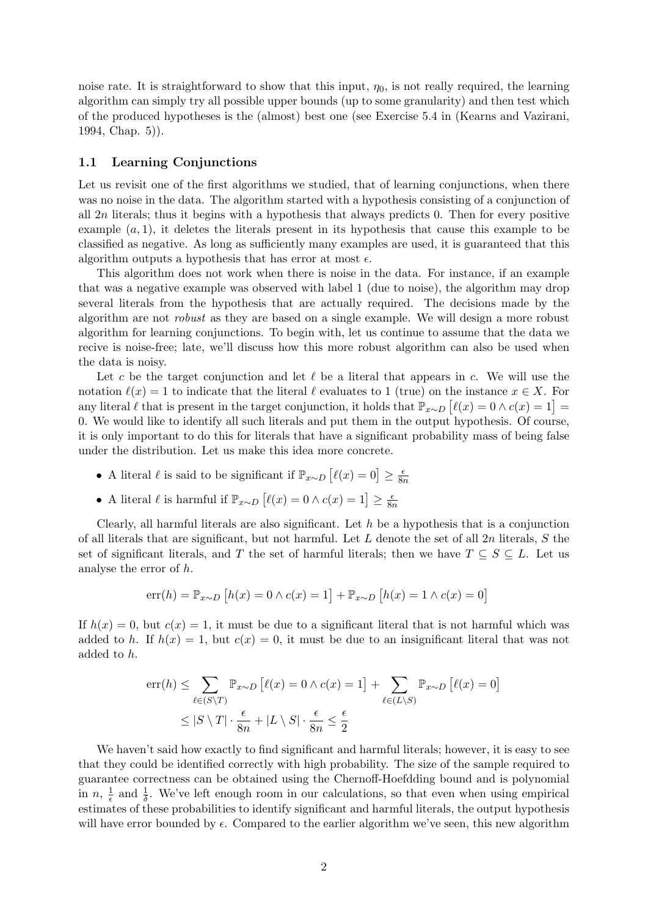noise rate. It is straightforward to show that this input,  $\eta_0$ , is not really required, the learning algorithm can simply try all possible upper bounds (up to some granularity) and then test which of the produced hypotheses is the (almost) best one (see Exercise 5.4 in (Kearns and Vazirani, 1994, Chap. 5)).

### 1.1 Learning Conjunctions

Let us revisit one of the first algorithms we studied, that of learning conjunctions, when there was no noise in the data. The algorithm started with a hypothesis consisting of a conjunction of all  $2n$  literals; thus it begins with a hypothesis that always predicts 0. Then for every positive example  $(a, 1)$ , it deletes the literals present in its hypothesis that cause this example to be classified as negative. As long as sufficiently many examples are used, it is guaranteed that this algorithm outputs a hypothesis that has error at most  $\epsilon$ .

This algorithm does not work when there is noise in the data. For instance, if an example that was a negative example was observed with label 1 (due to noise), the algorithm may drop several literals from the hypothesis that are actually required. The decisions made by the algorithm are not robust as they are based on a single example. We will design a more robust algorithm for learning conjunctions. To begin with, let us continue to assume that the data we recive is noise-free; late, we'll discuss how this more robust algorithm can also be used when the data is noisy.

Let c be the target conjunction and let  $\ell$  be a literal that appears in c. We will use the notation  $\ell(x) = 1$  to indicate that the literal  $\ell$  evaluates to 1 (true) on the instance  $x \in X$ . For any literal  $\ell$  that is present in the target conjunction, it holds that  $\mathbb{P}_{x \sim D} [\ell(x) = 0 \land c(x) = 1] =$ 0. We would like to identify all such literals and put them in the output hypothesis. Of course, it is only important to do this for literals that have a significant probability mass of being false under the distribution. Let us make this idea more concrete.

- A literal  $\ell$  is said to be significant if  $\mathbb{P}_{x \sim D} [\ell(x) = 0] \ge \frac{\epsilon}{8t}$  $\overline{8n}$
- A literal  $\ell$  is harmful if  $\mathbb{P}_{x \sim D} [\ell(x) = 0 \land c(x) = 1] \geq \frac{\epsilon}{88}$  $\overline{8n}$

Clearly, all harmful literals are also significant. Let  $h$  be a hypothesis that is a conjunction of all literals that are significant, but not harmful. Let  $L$  denote the set of all  $2n$  literals,  $S$  the set of significant literals, and T the set of harmful literals; then we have  $T \subseteq S \subseteq L$ . Let us analyse the error of h.

$$
err(h) = \mathbb{P}_{x \sim D} [h(x) = 0 \land c(x) = 1] + \mathbb{P}_{x \sim D} [h(x) = 1 \land c(x) = 0]
$$

If  $h(x) = 0$ , but  $c(x) = 1$ , it must be due to a significant literal that is not harmful which was added to h. If  $h(x) = 1$ , but  $c(x) = 0$ , it must be due to an insignificant literal that was not added to h.

$$
err(h) \le \sum_{\ell \in (S \setminus T)} \mathbb{P}_{x \sim D} [\ell(x) = 0 \land c(x) = 1] + \sum_{\ell \in (L \setminus S)} \mathbb{P}_{x \sim D} [\ell(x) = 0]
$$
  

$$
\le |S \setminus T| \cdot \frac{\epsilon}{8n} + |L \setminus S| \cdot \frac{\epsilon}{8n} \le \frac{\epsilon}{2}
$$

We haven't said how exactly to find significant and harmful literals; however, it is easy to see that they could be identified correctly with high probability. The size of the sample required to guarantee correctness can be obtained using the Chernoff-Hoefdding bound and is polynomial in  $n, \frac{1}{\epsilon}$  $\frac{1}{\epsilon}$  and  $\frac{1}{\delta}$ . We've left enough room in our calculations, so that even when using empirical estimates of these probabilities to identify significant and harmful literals, the output hypothesis will have error bounded by  $\epsilon$ . Compared to the earlier algorithm we've seen, this new algorithm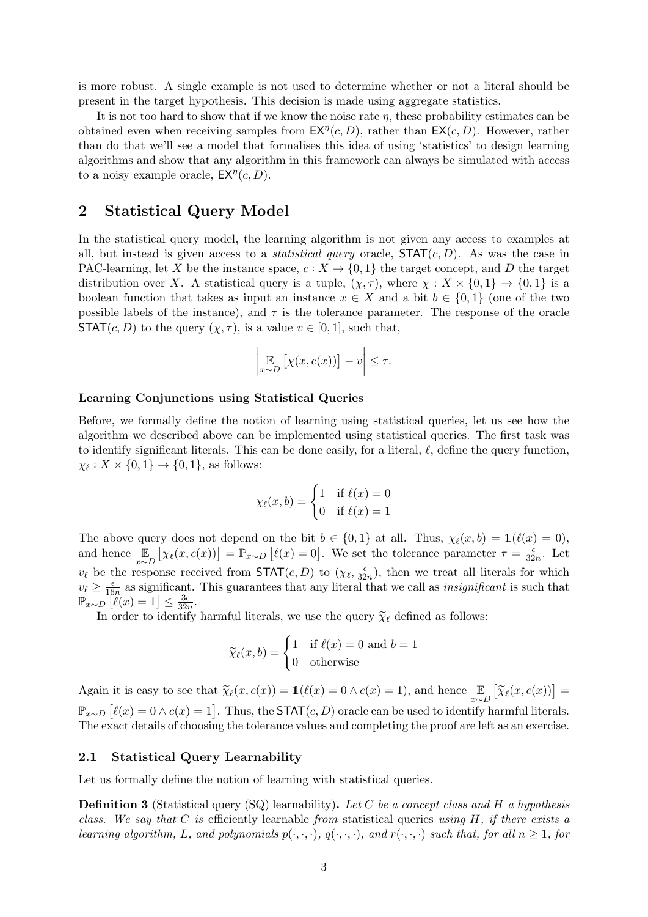is more robust. A single example is not used to determine whether or not a literal should be present in the target hypothesis. This decision is made using aggregate statistics.

It is not too hard to show that if we know the noise rate  $\eta$ , these probability estimates can be obtained even when receiving samples from  $E X^{\eta}(c, D)$ , rather than  $E X(c, D)$ . However, rather than do that we'll see a model that formalises this idea of using 'statistics' to design learning algorithms and show that any algorithm in this framework can always be simulated with access to a noisy example oracle,  $EX^{\eta}(c, D)$ .

# 2 Statistical Query Model

In the statistical query model, the learning algorithm is not given any access to examples at all, but instead is given access to a *statistical query* oracle,  $STAT(c, D)$ . As was the case in PAC-learning, let X be the instance space,  $c: X \to \{0,1\}$  the target concept, and D the target distribution over X. A statistical query is a tuple,  $(\chi, \tau)$ , where  $\chi : X \times \{0, 1\} \to \{0, 1\}$  is a boolean function that takes as input an instance  $x \in X$  and a bit  $b \in \{0,1\}$  (one of the two possible labels of the instance), and  $\tau$  is the tolerance parameter. The response of the oracle **STAT** $(c, D)$  to the query  $(\chi, \tau)$ , is a value  $v \in [0, 1]$ , such that,

$$
\left| \underset{x \sim D}{\mathbb{E}} \left[ \chi(x, c(x)) \right] - v \right| \leq \tau.
$$

### Learning Conjunctions using Statistical Queries

Before, we formally define the notion of learning using statistical queries, let us see how the algorithm we described above can be implemented using statistical queries. The first task was to identify significant literals. This can be done easily, for a literal,  $\ell$ , define the query function,  $\chi_{\ell}: X \times \{0, 1\} \to \{0, 1\}$ , as follows:

$$
\chi_{\ell}(x,b) = \begin{cases} 1 & \text{if } \ell(x) = 0\\ 0 & \text{if } \ell(x) = 1 \end{cases}
$$

The above query does not depend on the bit  $b \in \{0, 1\}$  at all. Thus,  $\chi_{\ell}(x, b) = \mathbb{1}(\ell(x) = 0)$ , and hence  $\mathbb{E}_{x \sim D} [\chi_{\ell}(x, c(x))] = \mathbb{P}_{x \sim D} [\ell(x) = 0]$ . We set the tolerance parameter  $\tau = \frac{\epsilon}{32}$  $\frac{\epsilon}{32n}$ . Let  $v_{\ell}$  be the response received from **STAT** $(c, D)$  to  $(\chi_{\ell}, \frac{\epsilon}{32})$  $\frac{\epsilon}{32n}$ , then we treat all literals for which  $v_\ell \geq \frac{\epsilon}{16}$  $\frac{\epsilon}{16n}$  as significant. This guarantees that any literal that we call as *insignificant* is such that  $\mathbb{P}_{x\sim D}\left[\ell(x)=1\right]\leq \frac{3\epsilon}{32n}$  $\frac{3\epsilon}{32n}$ .

In order to identify harmful literals, we use the query  $\tilde{\chi}_{\ell}$  defined as follows:

$$
\widetilde{\chi}_{\ell}(x, b) = \begin{cases} 1 & \text{if } \ell(x) = 0 \text{ and } b = 1 \\ 0 & \text{otherwise} \end{cases}
$$

Again it is easy to see that  $\widetilde{\chi}_{\ell}(x, c(x)) = \mathbb{1}(\ell(x) = 0 \land c(x) = 1)$ , and hence  $\mathbb{E}_{x \sim D} [\widetilde{\chi}_{\ell}(x, c(x))] =$  $\mathbb{P}_{x \sim D} [\ell(x) = 0 \land c(x) = 1].$  Thus, the STAT $(c, D)$  oracle can be used to identify harmful literals. The exact details of choosing the tolerance values and completing the proof are left as an exercise.

### 2.1 Statistical Query Learnability

Let us formally define the notion of learning with statistical queries.

**Definition 3** (Statistical query  $(SQ)$  learnability). Let C be a concept class and H a hypothesis class. We say that C is efficiently learnable from statistical queries using  $H$ , if there exists a learning algorithm, L, and polynomials  $p(\cdot,\cdot,\cdot)$ ,  $q(\cdot,\cdot,\cdot)$ , and  $r(\cdot,\cdot,\cdot)$  such that, for all  $n \geq 1$ , for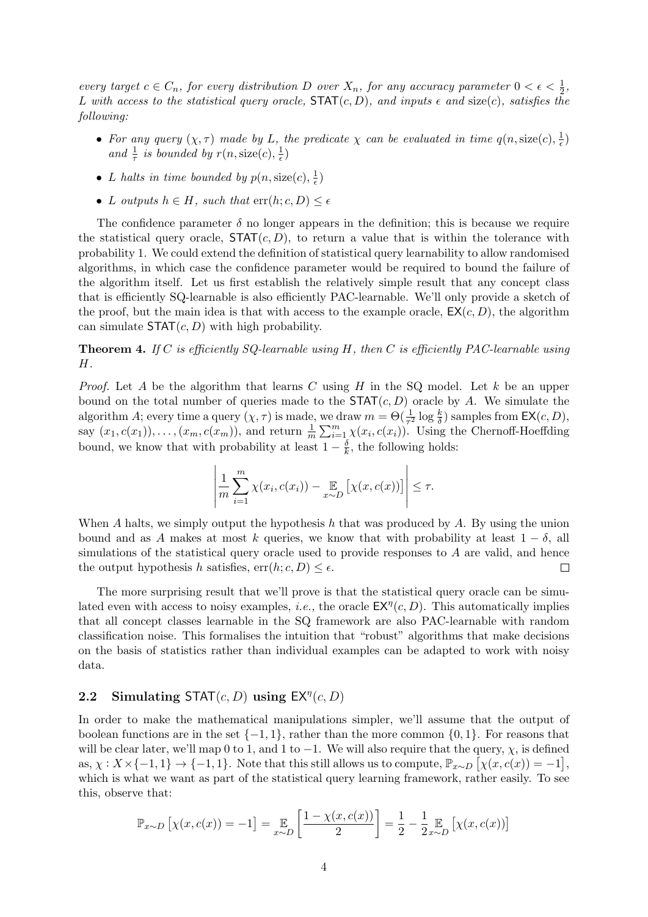every target  $c \in C_n$ , for every distribution D over  $X_n$ , for any accuracy parameter  $0 < \epsilon < \frac{1}{2}$ , L with access to the statistical query oracle,  $\text{STAT}(c, D)$ , and inputs  $\epsilon$  and size(c), satisfies the following:

- For any query  $(\chi, \tau)$  made by L, the predicate  $\chi$  can be evaluated in time  $q(n, \text{size}(c), \frac{1}{\epsilon})$  $(\frac{1}{\epsilon})$ and  $\frac{1}{\tau}$  is bounded by  $r(n, \text{size}(c), \frac{1}{\epsilon})$  $(\frac{1}{\epsilon})$
- L halts in time bounded by  $p(n, \text{size}(c), \frac{1}{e})$  $(\frac{1}{\epsilon})$
- L outputs  $h \in H$ , such that  $\text{err}(h; c, D) \leq \epsilon$

The confidence parameter  $\delta$  no longer appears in the definition; this is because we require the statistical query oracle,  $\text{STAT}(c, D)$ , to return a value that is within the tolerance with probability 1. We could extend the definition of statistical query learnability to allow randomised algorithms, in which case the confidence parameter would be required to bound the failure of the algorithm itself. Let us first establish the relatively simple result that any concept class that is efficiently SQ-learnable is also efficiently PAC-learnable. We'll only provide a sketch of the proof, but the main idea is that with access to the example oracle,  $EX(c, D)$ , the algorithm can simulate  $\text{STAT}(c, D)$  with high probability.

**Theorem 4.** If C is efficiently SQ-learnable using  $H$ , then C is efficiently PAC-learnable using H.

*Proof.* Let A be the algorithm that learns C using H in the SQ model. Let k be an upper bound on the total number of queries made to the  $STAT(c, D)$  oracle by A. We simulate the algorithm A; every time a query  $(\chi, \tau)$  is made, we draw  $m = \Theta(\frac{1}{\tau^2} \log \frac{k}{\delta})$  samples from  $\mathsf{EX}(c, D)$ , say  $(x_1, c(x_1)), \ldots, (x_m, c(x_m)),$  and return  $\frac{1}{m} \sum_{i=1}^m \chi(x_i, c(x_i)).$  Using the Chernoff-Hoeffding bound, we know that with probability at least  $1 - \frac{\delta}{k}$  $\frac{\delta}{k}$ , the following holds:

$$
\left|\frac{1}{m}\sum_{i=1}^m \chi(x_i, c(x_i)) - \mathop{\mathbb{E}}_{x \sim D} \left[ \chi(x, c(x)) \right] \right| \leq \tau.
$$

When A halts, we simply output the hypothesis  $h$  that was produced by  $A$ . By using the union bound and as A makes at most k queries, we know that with probability at least  $1 - \delta$ , all simulations of the statistical query oracle used to provide responses to A are valid, and hence the output hypothesis h satisfies,  $err(h; c, D) \leq \epsilon$ .  $\Box$ 

The more surprising result that we'll prove is that the statistical query oracle can be simulated even with access to noisy examples, *i.e.*, the oracle  $\mathsf{EX}^{\eta}(c, D)$ . This automatically implies that all concept classes learnable in the SQ framework are also PAC-learnable with random classification noise. This formalises the intuition that "robust" algorithms that make decisions on the basis of statistics rather than individual examples can be adapted to work with noisy data.

# 2.2 Simulating STAT $(c, D)$  using  $EX^{\eta}(c, D)$

In order to make the mathematical manipulations simpler, we'll assume that the output of boolean functions are in the set  $\{-1, 1\}$ , rather than the more common  $\{0, 1\}$ . For reasons that will be clear later, we'll map 0 to 1, and 1 to  $-1$ . We will also require that the query,  $\chi$ , is defined as,  $\chi: X \times \{-1, 1\} \to \{-1, 1\}$ . Note that this still allows us to compute,  $\mathbb{P}_{x \sim D} [\chi(x, c(x)) = -1],$ which is what we want as part of the statistical query learning framework, rather easily. To see this, observe that:

$$
\mathbb{P}_{x \sim D} [ \chi(x, c(x)) = -1 ] = \mathop{\mathbb{E}}_{x \sim D} \left[ \frac{1 - \chi(x, c(x))}{2} \right] = \frac{1}{2} - \frac{1}{2} \mathop{\mathbb{E}}_{x \sim D} [ \chi(x, c(x)) ]
$$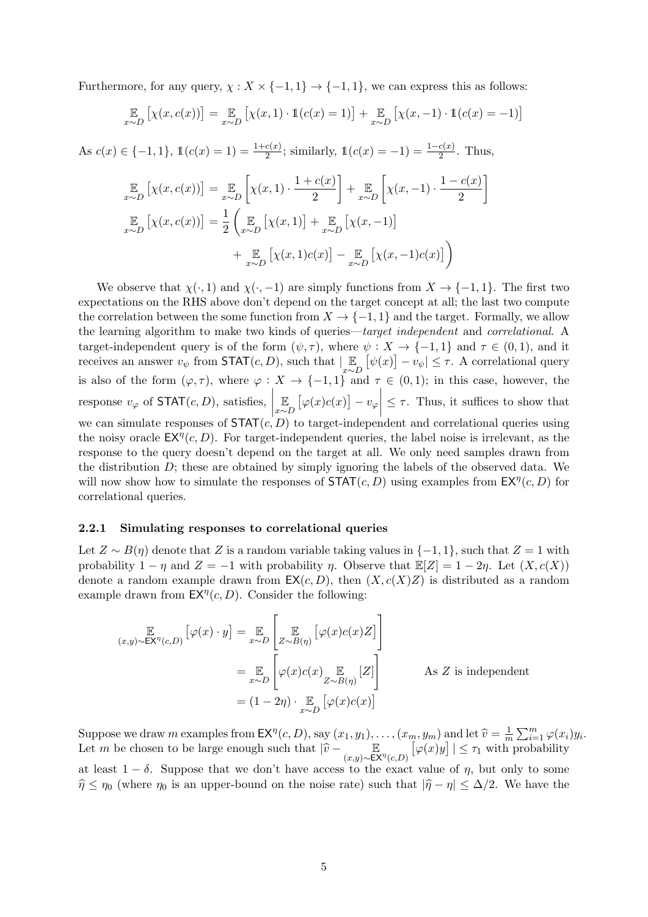Furthermore, for any query,  $\chi: X \times \{-1,1\} \to \{-1,1\}$ , we can express this as follows:

$$
\mathop{\mathbb{E}}_{x \sim D} \left[ \chi(x, c(x)) \right] = \mathop{\mathbb{E}}_{x \sim D} \left[ \chi(x, 1) \cdot \mathbb{1}(c(x) = 1) \right] + \mathop{\mathbb{E}}_{x \sim D} \left[ \chi(x, -1) \cdot \mathbb{1}(c(x) = -1) \right]
$$

As  $c(x) \in \{-1, 1\}$ ,  $\mathbb{1}(c(x) = 1) = \frac{1+c(x)}{2}$ ; similarly,  $\mathbb{1}(c(x) = -1) = \frac{1-c(x)}{2}$ . Thus,

$$
\mathbb{E}_{x \sim D} \left[ \chi(x, c(x)) \right] = \mathbb{E}_{x \sim D} \left[ \chi(x, 1) \cdot \frac{1 + c(x)}{2} \right] + \mathbb{E}_{x \sim D} \left[ \chi(x, -1) \cdot \frac{1 - c(x)}{2} \right]
$$
\n
$$
\mathbb{E}_{x \sim D} \left[ \chi(x, c(x)) \right] = \frac{1}{2} \left( \mathbb{E}_{x \sim D} \left[ \chi(x, 1) \right] + \mathbb{E}_{x \sim D} \left[ \chi(x, -1) \right] + \mathbb{E}_{x \sim D} \left[ \chi(x, 1) c(x) \right] - \mathbb{E}_{x \sim D} \left[ \chi(x, -1) c(x) \right] \right)
$$

We observe that  $\chi(\cdot, 1)$  and  $\chi(\cdot, -1)$  are simply functions from  $X \to \{-1, 1\}$ . The first two expectations on the RHS above don't depend on the target concept at all; the last two compute the correlation between the some function from  $X \to \{-1,1\}$  and the target. Formally, we allow the learning algorithm to make two kinds of queries—target independent and correlational. A target-independent query is of the form  $(\psi, \tau)$ , where  $\psi : X \to \{-1, 1\}$  and  $\tau \in (0, 1)$ , and it receives an answer  $v_{\psi}$  from  $\text{STAT}(c, D)$ , such that  $\left| \mathbb{E}_{x \sim D} [\psi(x)] - v_{\psi} \right| \leq \tau$ . A correlational query is also of the form  $(\varphi, \tau)$ , where  $\varphi : X \to \{-1,1\}$  and  $\tau \in (0,1)$ ; in this case, however, the response  $v_{\varphi}$  of **STAT** $(c, D)$ , satisfies, E  $\mathbb{E}_{x \sim D} [\varphi(x) c(x)] - v_{\varphi}$  $\leq \tau$ . Thus, it suffices to show that we can simulate responses of  $STAT(c, D)$  to target-independent and correlational queries using the noisy oracle  $EX^{\eta}(c, D)$ . For target-independent queries, the label noise is irrelevant, as the response to the query doesn't depend on the target at all. We only need samples drawn from the distribution  $D$ ; these are obtained by simply ignoring the labels of the observed data. We will now show how to simulate the responses of  $\text{STAT}(c, D)$  using examples from  $\text{EX}^{\eta}(c, D)$  for correlational queries.

#### 2.2.1 Simulating responses to correlational queries

Let  $Z \sim B(\eta)$  denote that Z is a random variable taking values in  $\{-1, 1\}$ , such that  $Z = 1$  with probability  $1 - \eta$  and  $Z = -1$  with probability  $\eta$ . Observe that  $\mathbb{E}[Z] = 1 - 2\eta$ . Let  $(X, c(X))$ denote a random example drawn from  $EX(c, D)$ , then  $(X, c(X)Z)$  is distributed as a random example drawn from  $E X^{\eta}(c, D)$ . Consider the following:

$$
\mathbb{E}_{(x,y)\sim \mathsf{EX}^{\eta}(c,D)}\left[\varphi(x)\cdot y\right] = \mathbb{E}_{x\sim D}\left[\mathbb{E}_{Z\sim B(\eta)}\left[\varphi(x)c(x)Z\right]\right]
$$
\n
$$
= \mathbb{E}_{x\sim D}\left[\varphi(x)c(x)\mathbb{E}_{Z\sim B(\eta)}[Z]\right]
$$
\n
$$
= (1-2\eta)\cdot \mathbb{E}_{x\sim D}\left[\varphi(x)c(x)\right]
$$
\nAs *Z* is independent

Suppose we draw m examples from  $\mathsf{EX}^{\eta}(c, D)$ , say  $(x_1, y_1), \ldots, (x_m, y_m)$  and let  $\widehat{v} = \frac{1}{m}$  $\frac{1}{m} \sum_{i=1}^{m} \varphi(x_i) y_i.$ Let m be chosen to be large enough such that  $\|\widehat{v} - \mathbb{E}\|_{(x,y) \sim \mathsf{EX}^{\eta}(c,D)}$  $\lceil \varphi(x)y \rceil \rceil \leq \tau_1$  with probability at least  $1 - \delta$ . Suppose that we don't have access to the exact value of  $\eta$ , but only to some  $\hat{\eta} \le \eta_0$  (where  $\eta_0$  is an upper-bound on the noise rate) such that  $|\hat{\eta} - \eta| \leq \Delta/2$ . We have the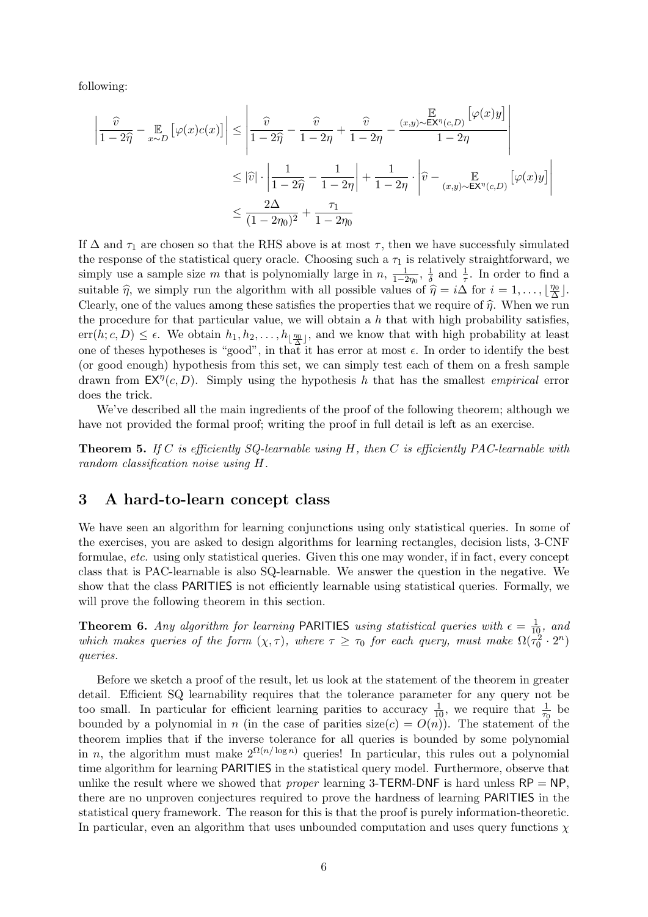following:

$$
\left| \frac{\widehat{v}}{1 - 2\widehat{\eta}} - \underset{x \sim D}{\mathbb{E}} \left[ \varphi(x)c(x) \right] \right| \le \left| \frac{\widehat{v}}{1 - 2\widehat{\eta}} - \frac{\widehat{v}}{1 - 2\eta} + \frac{\widehat{v}}{1 - 2\eta} - \frac{(x, y) \sim \mathsf{EX}^{\eta}(c, D)}{1 - 2\eta} \right|
$$
  

$$
\le |\widehat{v}| \cdot \left| \frac{1}{1 - 2\widehat{\eta}} - \frac{1}{1 - 2\eta} \right| + \frac{1}{1 - 2\eta} \cdot \left| \widehat{v} - \underset{(x, y) \sim \mathsf{EX}^{\eta}(c, D)}{\mathbb{E}} \left[ \varphi(x) y \right] \right|
$$
  

$$
\le \frac{2\Delta}{(1 - 2\eta_0)^2} + \frac{\tau_1}{1 - 2\eta_0}
$$

If  $\Delta$  and  $\tau_1$  are chosen so that the RHS above is at most  $\tau$ , then we have successfuly simulated the response of the statistical query oracle. Choosing such a  $\tau_1$  is relatively straightforward, we simply use a sample size m that is polynomially large in  $n, \frac{1}{1-2\eta_0}, \frac{1}{\delta}$  $\frac{1}{\delta}$  and  $\frac{1}{\tau}$ . In order to find a suitable  $\hat{\eta}$ , we simply run the algorithm with all possible values of  $\hat{\eta} = i\Delta$  for  $i = 1, ..., \lfloor \frac{\eta_0}{\Delta} \rfloor$ .  $\frac{\eta_0}{\Delta}$ ]. Clearly, one of the values among these satisfies the properties that we require of  $\hat{\eta}$ . When we run the procedure for that particular value, we will obtain a  $h$  that with high probability satisfies,  $err(h; c, D) \leq \epsilon$ . We obtain  $h_1, h_2, \ldots, h_{\lfloor \frac{n_0}{\Delta} \rfloor}$ , and we know that with high probability at least one of theses hypotheses is "good", in that it has error at most  $\epsilon$ . In order to identify the best (or good enough) hypothesis from this set, we can simply test each of them on a fresh sample drawn from  $\mathsf{EX}^{\eta}(c, D)$ . Simply using the hypothesis h that has the smallest *empirical* error does the trick.

We've described all the main ingredients of the proof of the following theorem; although we have not provided the formal proof; writing the proof in full detail is left as an exercise.

**Theorem 5.** If C is efficiently SQ-learnable using H, then C is efficiently PAC-learnable with random classification noise using H.

## 3 A hard-to-learn concept class

We have seen an algorithm for learning conjunctions using only statistical queries. In some of the exercises, you are asked to design algorithms for learning rectangles, decision lists, 3-CNF formulae, etc. using only statistical queries. Given this one may wonder, if in fact, every concept class that is PAC-learnable is also SQ-learnable. We answer the question in the negative. We show that the class PARITIES is not efficiently learnable using statistical queries. Formally, we will prove the following theorem in this section.

**Theorem 6.** Any algorithm for learning PARITIES using statistical queries with  $\epsilon = \frac{1}{10}$ , and which makes queries of the form  $(\chi, \tau)$ , where  $\tau \geq \tau_0$  for each query, must make  $\Omega(\tau_0^2 \cdot 2^n)$ queries.

Before we sketch a proof of the result, let us look at the statement of the theorem in greater detail. Efficient SQ learnability requires that the tolerance parameter for any query not be too small. In particular for efficient learning parities to accuracy  $\frac{1}{10}$ , we require that  $\frac{1}{\tau_0}$  be bounded by a polynomial in n (in the case of parities  $size(c) = O(n)$ ). The statement of the theorem implies that if the inverse tolerance for all queries is bounded by some polynomial in n, the algorithm must make  $2^{\Omega(n/\log n)}$  queries! In particular, this rules out a polynomial time algorithm for learning PARITIES in the statistical query model. Furthermore, observe that unlike the result where we showed that *proper* learning 3-TERM-DNF is hard unless  $RP = NP$ , there are no unproven conjectures required to prove the hardness of learning PARITIES in the statistical query framework. The reason for this is that the proof is purely information-theoretic. In particular, even an algorithm that uses unbounded computation and uses query functions  $\chi$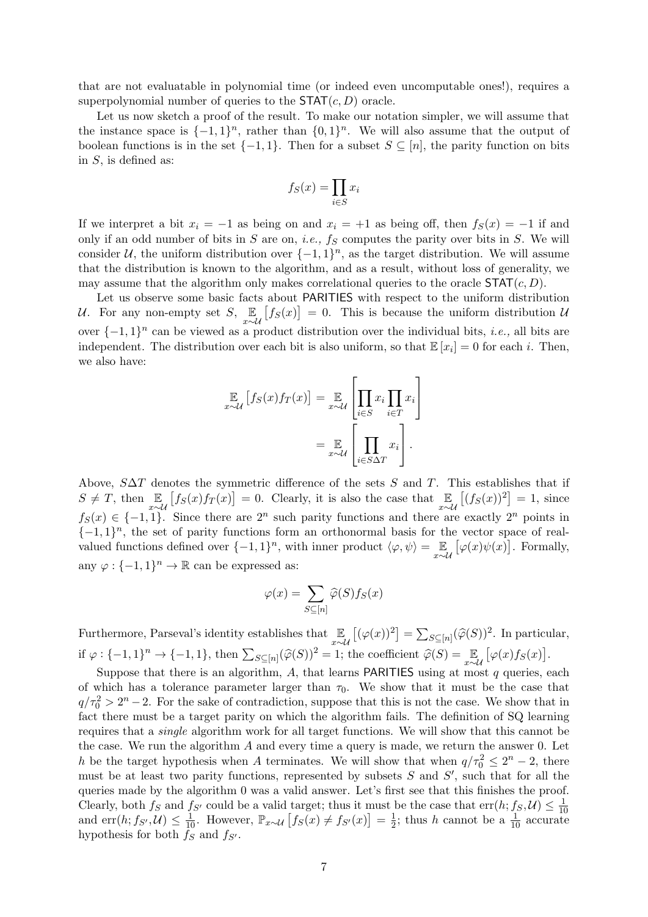that are not evaluatable in polynomial time (or indeed even uncomputable ones!), requires a superpolynomial number of queries to the  $\text{STAT}(c, D)$  oracle.

Let us now sketch a proof of the result. To make our notation simpler, we will assume that the instance space is  $\{-1,1\}^n$ , rather than  $\{0,1\}^n$ . We will also assume that the output of boolean functions is in the set  $\{-1, 1\}$ . Then for a subset  $S \subseteq [n]$ , the parity function on bits in S, is defined as:

$$
f_S(x) = \prod_{i \in S} x_i
$$

If we interpret a bit  $x_i = -1$  as being on and  $x_i = +1$  as being off, then  $f_S(x) = -1$  if and only if an odd number of bits in  $S$  are on, *i.e.*,  $f_S$  computes the parity over bits in  $S$ . We will consider U, the uniform distribution over  $\{-1,1\}^n$ , as the target distribution. We will assume that the distribution is known to the algorithm, and as a result, without loss of generality, we may assume that the algorithm only makes correlational queries to the oracle  $\text{STAT}(c, D)$ .

Let us observe some basic facts about PARITIES with respect to the uniform distribution U. For any non-empty set  $S$ ,  $\mathbb{E}_{x \sim \mathcal{U}} [f_S(x)] = 0$ . This is because the uniform distribution U over  $\{-1,1\}^n$  can be viewed as a product distribution over the individual bits, *i.e.*, all bits are independent. The distribution over each bit is also uniform, so that  $\mathbb{E}[x_i] = 0$  for each i. Then, we also have:

$$
\mathbb{E}_{\sim\mathcal{U}}\left[f_S(x)f_T(x)\right] = \mathbb{E}_{x\sim\mathcal{U}}\left[\prod_{i\in S}x_i\prod_{i\in T}x_i\right]
$$

$$
=\mathbb{E}_{x\sim\mathcal{U}}\left[\prod_{i\in S\Delta T}x_i\right].
$$

 $\overline{a}$ 

Above,  $S\Delta T$  denotes the symmetric difference of the sets S and T. This establishes that if  $S \neq T$ , then  $\mathbb{E}_{x \sim \mathcal{U}} [f_S(x)f_T(x)] = 0$ . Clearly, it is also the case that  $\mathbb{E}_{x \sim \mathcal{U}} [(f_S(x))^2] = 1$ , since  $f_S(x) \in \{-1,1\}$ . Since there are  $2^n$  such parity functions and there are exactly  $2^n$  points in  $\{-1,1\}$ <sup>n</sup>, the set of parity functions form an orthonormal basis for the vector space of realvalued functions defined over  $\{-1,1\}^n$ , with inner product  $\langle \varphi, \psi \rangle = \mathbb{E}_{x \sim \mathcal{U}} [\varphi(x)\psi(x)]$ . Formally, any  $\varphi: \{-1,1\}^n \to \mathbb{R}$  can be expressed as:

$$
\varphi(x) = \sum_{S \subseteq [n]} \widehat{\varphi}(S) f_S(x)
$$

Furthermore, Parseval's identity establishes that  $\mathbb{E}_{x \sim \mathcal{U}} [(\varphi(x))^2] = \sum_{S \subseteq [n]} (\widehat{\varphi}(S))^2$ . In particular, if  $\varphi: \{-1,1\}^n \to \{-1,1\}$ , then  $\sum_{S \subseteq [n]} (\widehat{\varphi}(S))^2 = 1$ ; the coefficient  $\widehat{\varphi}(S) = \mathbb{E}_{x \sim \mathcal{U}} [\varphi(x) f_S(x)].$ 

Suppose that there is an algorithm, A, that learns **PARITIES** using at most  $q$  queries, each of which has a tolerance parameter larger than  $\tau_0$ . We show that it must be the case that  $q/\tau_0^2 > 2^n - 2$ . For the sake of contradiction, suppose that this is not the case. We show that in fact there must be a target parity on which the algorithm fails. The definition of SQ learning requires that a single algorithm work for all target functions. We will show that this cannot be the case. We run the algorithm  $A$  and every time a query is made, we return the answer 0. Let h be the target hypothesis when A terminates. We will show that when  $q/\tau_0^2 \leq 2^n - 2$ , there must be at least two parity functions, represented by subsets  $S$  and  $S'$ , such that for all the queries made by the algorithm 0 was a valid answer. Let's first see that this finishes the proof. Clearly, both  $f_S$  and  $f_{S'}$  could be a valid target; thus it must be the case that  $err(h; f_S, U) \leq \frac{1}{10}$ 10 and err(*h*;  $f_{S'}$ ,  $\mathcal{U}$ )  $\leq \frac{1}{10}$ . However,  $\mathbb{P}_{x \sim \mathcal{U}} [f_S(x) \neq f_{S'}(x)] = \frac{1}{2}$  $\frac{1}{2}$ ; thus h cannot be a  $\frac{1}{10}$  accurate hypothesis for both  $f_S$  and  $f_{S'}$ .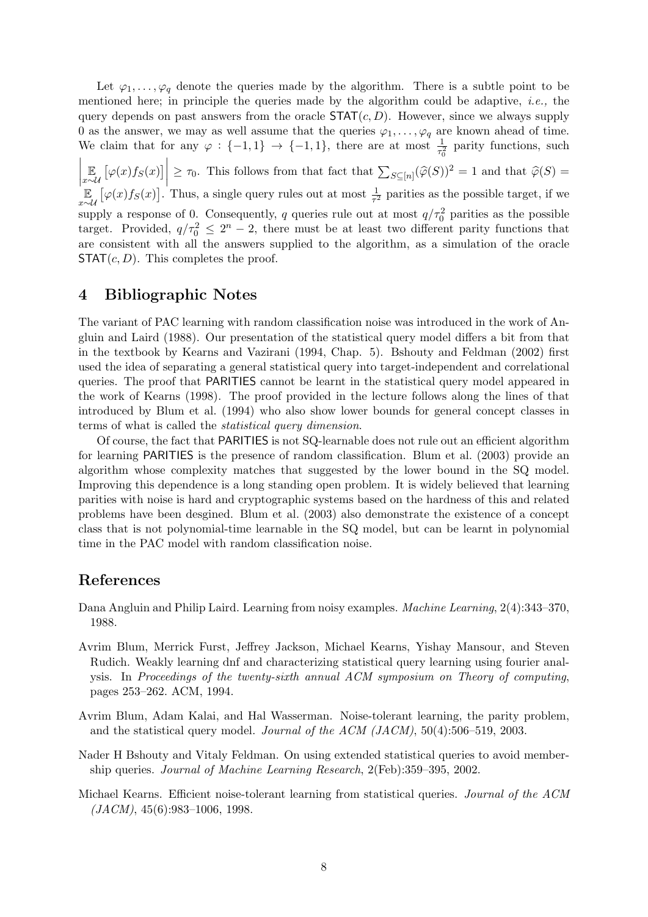Let  $\varphi_1, \ldots, \varphi_q$  denote the queries made by the algorithm. There is a subtle point to be mentioned here; in principle the queries made by the algorithm could be adaptive, i.e., the query depends on past answers from the oracle  $\text{STAT}(c, D)$ . However, since we always supply 0 as the answer, we may as well assume that the queries  $\varphi_1, \ldots, \varphi_q$  are known ahead of time. We claim that for any  $\varphi : \{-1,1\} \to \{-1,1\}$ , there are at most  $\frac{1}{\tau_0^2}$  parity functions, such  $\begin{array}{c} \begin{array}{c} \begin{array}{c} \end{array} \\ \begin{array}{c} \end{array} \end{array} \end{array}$ E  $\mathbb{E}_{x \sim \mathcal{U}} \left[ \varphi(x) f_S(x) \right]$  $\geq \tau_0$ . This follows from that fact that  $\sum_{S \subseteq [n]} (\widehat{\varphi}(S))^2 = 1$  and that  $\widehat{\varphi}(S) =$ E  $\mathbb{E}_{x \sim \mathcal{U}} [\varphi(x) f_S(x)]$ . Thus, a single query rules out at most  $\frac{1}{\tau^2}$  parities as the possible target, if we supply a response of 0. Consequently, q queries rule out at most  $q/\tau_0^2$  parities as the possible target. Provided,  $q/\tau_0^2 \leq 2^n - 2$ , there must be at least two different parity functions that are consistent with all the answers supplied to the algorithm, as a simulation of the oracle  $STAT(c, D)$ . This completes the proof.

# 4 Bibliographic Notes

The variant of PAC learning with random classification noise was introduced in the work of Angluin and Laird (1988). Our presentation of the statistical query model differs a bit from that in the textbook by Kearns and Vazirani (1994, Chap. 5). Bshouty and Feldman (2002) first used the idea of separating a general statistical query into target-independent and correlational queries. The proof that PARITIES cannot be learnt in the statistical query model appeared in the work of Kearns (1998). The proof provided in the lecture follows along the lines of that introduced by Blum et al. (1994) who also show lower bounds for general concept classes in terms of what is called the statistical query dimension.

Of course, the fact that PARITIES is not SQ-learnable does not rule out an efficient algorithm for learning PARITIES is the presence of random classification. Blum et al. (2003) provide an algorithm whose complexity matches that suggested by the lower bound in the SQ model. Improving this dependence is a long standing open problem. It is widely believed that learning parities with noise is hard and cryptographic systems based on the hardness of this and related problems have been desgined. Blum et al. (2003) also demonstrate the existence of a concept class that is not polynomial-time learnable in the SQ model, but can be learnt in polynomial time in the PAC model with random classification noise.

### References

- Dana Angluin and Philip Laird. Learning from noisy examples. Machine Learning, 2(4):343–370, 1988.
- Avrim Blum, Merrick Furst, Jeffrey Jackson, Michael Kearns, Yishay Mansour, and Steven Rudich. Weakly learning dnf and characterizing statistical query learning using fourier analysis. In Proceedings of the twenty-sixth annual ACM symposium on Theory of computing, pages 253–262. ACM, 1994.
- Avrim Blum, Adam Kalai, and Hal Wasserman. Noise-tolerant learning, the parity problem, and the statistical query model. Journal of the ACM (JACM), 50(4):506–519, 2003.
- Nader H Bshouty and Vitaly Feldman. On using extended statistical queries to avoid membership queries. Journal of Machine Learning Research, 2(Feb):359–395, 2002.
- Michael Kearns. Efficient noise-tolerant learning from statistical queries. Journal of the ACM  $(JACM)$ , 45(6):983–1006, 1998.